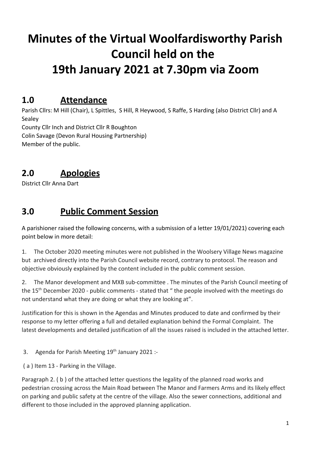# **Minutes of the Virtual Woolfardisworthy Parish Council held on the 19th January 2021 at 7.30pm via Zoom**

### **1.0 Attendance**

Parish Cllrs: M Hill (Chair), L Spittles, S Hill, R Heywood, S Raffe, S Harding (also District Cllr) and A Sealey

County Cllr Inch and District Cllr R Boughton

Colin Savage (Devon Rural Housing Partnership) Member of the public.

# **2.0 Apologies**

District Cllr Anna Dart

### **3.0 Public Comment Session**

A parishioner raised the following concerns, with a submission of a letter 19/01/2021) covering each point below in more detail:

1. The October 2020 meeting minutes were not published in the Woolsery Village News magazine but archived directly into the Parish Council website record, contrary to protocol. The reason and objective obviously explained by the content included in the public comment session.

2. The Manor development and MXB sub-committee . The minutes of the Parish Council meeting of the 15<sup>th</sup> December 2020 - public comments - stated that " the people involved with the meetings do not understand what they are doing or what they are looking at".

Justification for this is shown in the Agendas and Minutes produced to date and confirmed by their response to my letter offering a full and detailed explanation behind the Formal Complaint. The latest developments and detailed justification of all the issues raised is included in the attached letter.

3. Agenda for Parish Meeting 19<sup>th</sup> January 2021 :-

( a ) Item 13 - Parking in the Village.

Paragraph 2. ( b ) of the attached letter questions the legality of the planned road works and pedestrian crossing across the Main Road between The Manor and Farmers Arms and its likely effect on parking and public safety at the centre of the village. Also the sewer connections, additional and different to those included in the approved planning application.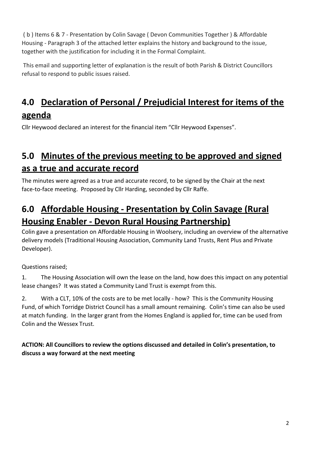( b ) Items 6 & 7 - Presentation by Colin Savage ( Devon Communities Together ) & Affordable Housing - Paragraph 3 of the attached letter explains the history and background to the issue, together with the justification for including it in the Formal Complaint.

 This email and supporting letter of explanation is the result of both Parish & District Councillors refusal to respond to public issues raised.

# **4.0 Declaration of Personal / Prejudicial Interest for items of the agenda**

Cllr Heywood declared an interest for the financial item "Cllr Heywood Expenses".

# **5.0 Minutes of the previous meeting to be approved and signed as a true and accurate record**

The minutes were agreed as a true and accurate record, to be signed by the Chair at the next face-to-face meeting. Proposed by Cllr Harding, seconded by Cllr Raffe.

# **6.0 Affordable Housing - Presentation by Colin Savage (Rural Housing Enabler - Devon Rural Housing Partnership)**

Colin gave a presentation on Affordable Housing in Woolsery, including an overview of the alternative delivery models (Traditional Housing Association, Community Land Trusts, Rent Plus and Private Developer).

Questions raised;

1. The Housing Association will own the lease on the land, how does this impact on any potential lease changes? It was stated a Community Land Trust is exempt from this.

2. With a CLT, 10% of the costs are to be met locally - how? This is the Community Housing Fund, of which Torridge District Council has a small amount remaining. Colin's time can also be used at match funding. In the larger grant from the Homes England is applied for, time can be used from Colin and the Wessex Trust.

#### **ACTION: All Councillors to review the options discussed and detailed in Colin's presentation, to discuss a way forward at the next meeting**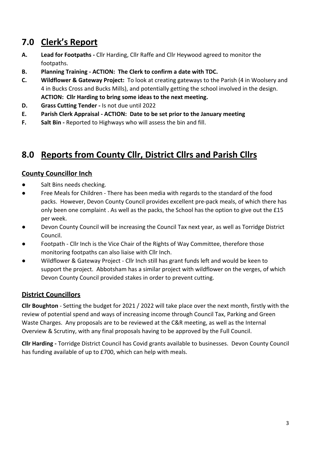# **7.0 Clerk's Report**

- **A. Lead for Footpaths** Cllr Harding, Cllr Raffe and Cllr Heywood agreed to monitor the footpaths.
- **B. Planning Training ACTION: The Clerk to confirm a date with TDC.**
- **C. Wildflower & Gateway Project:** To look at creating gateways to the Parish (4 in Woolsery and 4 in Bucks Cross and Bucks Mills), and potentially getting the school involved in the design. **ACTION: Cllr Harding to bring some ideas to the next meeting.**
- **D. Grass Cutting Tender** Is not due until 2022
- **E. Parish Clerk Appraisal ACTION: Date to be set prior to the January meeting**
- **F.** Salt Bin Reported to Highways who will assess the bin and fill.

# **8.0 Reports from County Cllr, District Cllrs and Parish Cllrs**

#### **County Councillor Inch**

- Salt Bins needs checking.
- Free Meals for Children There has been media with regards to the standard of the food packs. However, Devon County Council provides excellent pre-pack meals, of which there has only been one complaint . As well as the packs, the School has the option to give out the £15 per week.
- Devon County Council will be increasing the Council Tax next year, as well as Torridge District Council.
- Footpath Cllr Inch is the Vice Chair of the Rights of Way Committee, therefore those monitoring footpaths can also liaise with Cllr Inch.
- Wildflower & Gateway Project Cllr Inch still has grant funds left and would be keen to support the project. Abbotsham has a similar project with wildflower on the verges, of which Devon County Council provided stakes in order to prevent cutting.

#### **District Councillors**

**Cllr Boughton** - Setting the budget for 2021 / 2022 will take place over the next month, firstly with the review of potential spend and ways of increasing income through Council Tax, Parking and Green Waste Charges. Any proposals are to be reviewed at the C&R meeting, as well as the Internal Overview & Scrutiny, with any final proposals having to be approved by the Full Council.

**Cllr Harding -** Torridge District Council has Covid grants available to businesses. Devon County Council has funding available of up to £700, which can help with meals.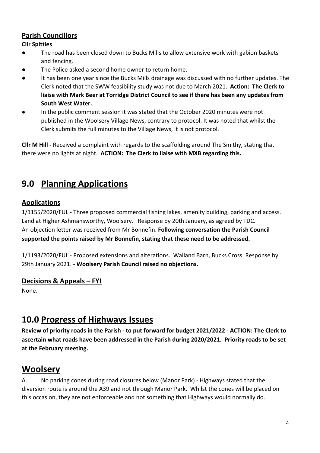#### **Parish Councillors**

**Cllr Spittles**

- The road has been closed down to Bucks Mills to allow extensive work with gabion baskets and fencing.
- The Police asked a second home owner to return home.
- It has been one year since the Bucks Mills drainage was discussed with no further updates. The Clerk noted that the SWW feasibility study was not due to March 2021. **Action: The Clerk to liaise with Mark Beer at Torridge District Council to see if there has been any updates from South West Water.**
- In the public comment session it was stated that the October 2020 minutes were not published in the Woolsery Village News, contrary to protocol. It was noted that whilst the Clerk submits the full minutes to the Village News, it is not protocol.

**Cllr M Hill -** Received a complaint with regards to the scaffolding around The Smithy, stating that there were no lights at night. **ACTION: The Clerk to liaise with MXB regarding this.**

### **9.0 Planning Applications**

#### **Applications**

1/1155/2020/FUL - Three proposed commercial fishing lakes, amenity building, parking and access. Land at Higher Ashmansworthy, Woolsery. Response by 20th January, as agreed by TDC. An objection letter was received from Mr Bonnefin. **Following conversation the Parish Council supported the points raised by Mr Bonnefin, stating that these need to be addressed.**

1/1193/2020/FUL - Proposed extensions and alterations. Walland Barn, Bucks Cross. Response by 29th January 2021. - **Woolsery Parish Council raised no objections.**

#### **Decisions & Appeals – FYI**

None.

### **10.0 Progress of Highways Issues**

**Review of priority roads in the Parish - to put forward for budget 2021/2022 - ACTION: The Clerk to ascertain what roads have been addressed in the Parish during 2020/2021. Priority roads to be set at the February meeting.**

### **Woolsery**

A. No parking cones during road closures below (Manor Park) - Highways stated that the diversion route is around the A39 and not through Manor Park. Whilst the cones will be placed on this occasion, they are not enforceable and not something that Highways would normally do.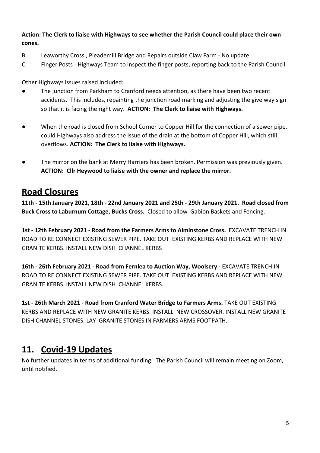**Action: The Clerk to liaise with Highways to see whether the Parish Council could place their own cones.**

- B. Leaworthy Cross , Pleademill Bridge and Repairs outside Claw Farm No update.
- C. Finger Posts Highways Team to inspect the finger posts, reporting back to the Parish Council.

Other Highways issues raised included:

- The junction from Parkham to Cranford needs attention, as there have been two recent accidents. This includes, repainting the junction road marking and adjusting the give way sign so that it is facing the right way. **ACTION: The Clerk to liaise with Highways.**
- When the road is closed from School Corner to Copper Hill for the connection of a sewer pipe, could Highways also address the issue of the drain at the bottom of Copper Hill, which still overflows. **ACTION: The Clerk to liaise with Highways.**
- The mirror on the bank at Merry Harriers has been broken. Permission was previously given. **ACTION: Cllr Heywood to liaise with the owner and replace the mirror.**

### **Road Closures**

**11th - 15th January 2021, 18th - 22nd January 2021 and 25th - 29th January 2021. Road closed from Buck Cross to Laburnum Cottage, Bucks Cross.** Closed to allow Gabion Baskets and Fencing.

**1st - 12th February 2021 - Road from the Farmers Arms to Alminstone Cross.** EXCAVATE TRENCH IN ROAD TO RE CONNECT EXISTING SEWER PIPE. TAKE OUT EXISTING KERBS AND REPLACE WITH NEW GRANITE KERBS. INSTALL NEW DISH CHANNEL KERBS

**16th - 26th February 2021 - Road from Fernlea to Auction Way, Woolsery -** EXCAVATE TRENCH IN ROAD TO RE CONNECT EXISTING SEWER PIPE. TAKE OUT EXISTING KERBS AND REPLACE WITH NEW GRANITE KERBS. INSTALL NEW DISH CHANNEL KERBS.

**1st - 26th March 2021 - Road from Cranford Water Bridge to Farmers Arms.** TAKE OUT EXISTING KERBS AND REPLACE WITH NEW GRANITE KERBS. INSTALL NEW CROSSOVER. INSTALL NEW GRANITE DISH CHANNEL STONES. LAY GRANITE STONES IN FARMERS ARMS FOOTPATH.

### **11. Covid-19 Updates**

No further updates in terms of additional funding. The Parish Council will remain meeting on Zoom, until notified.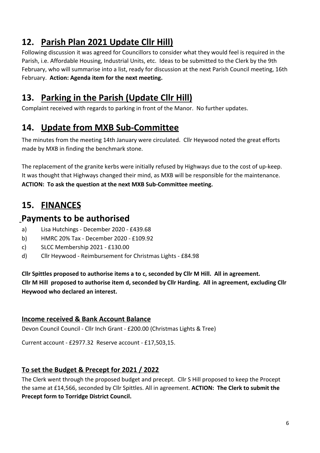# **12. Parish Plan 2021 Update Cllr Hill)**

Following discussion it was agreed for Councillors to consider what they would feel is required in the Parish, i.e. Affordable Housing, Industrial Units, etc. Ideas to be submitted to the Clerk by the 9th February, who will summarise into a list, ready for discussion at the next Parish Council meeting, 16th February. **Action: Agenda item for the next meeting.**

# **13. Parking in the Parish (Update Cllr Hill)**

Complaint received with regards to parking in front of the Manor. No further updates.

### **14. Update from MXB Sub-Committee**

The minutes from the meeting 14th January were circulated. Cllr Heywood noted the great efforts made by MXB in finding the benchmark stone.

The replacement of the granite kerbs were initially refused by Highways due to the cost of up-keep. It was thought that Highways changed their mind, as MXB will be responsible for the maintenance. **ACTION: To ask the question at the next MXB Sub-Committee meeting.**

# **15. FINANCES**

### **Payments to be authorised**

- a) Lisa Hutchings December 2020 £439.68
- b) HMRC 20% Tax December 2020 £109.92
- c) SLCC Membership 2021 £130.00
- d) Cllr Heywood Reimbursement for Christmas Lights £84.98

**Cllr Spittles proposed to authorise items a to c, seconded by Cllr M Hill. All in agreement. Cllr M Hill proposed to authorise item d, seconded by Cllr Harding. All in agreement, excluding Cllr Heywood who declared an interest.**

#### **Income received & Bank Account Balance**

Devon Council Council - Cllr Inch Grant - £200.00 (Christmas Lights & Tree)

Current account - £2977.32 Reserve account - £17,503,15.

#### **To set the Budget & Precept for 2021 / 2022**

The Clerk went through the proposed budget and precept. Cllr S Hill proposed to keep the Procept the same at £14,566, seconded by Cllr Spittles. All in agreement. **ACTION: The Clerk to submit the Precept form to Torridge District Council.**